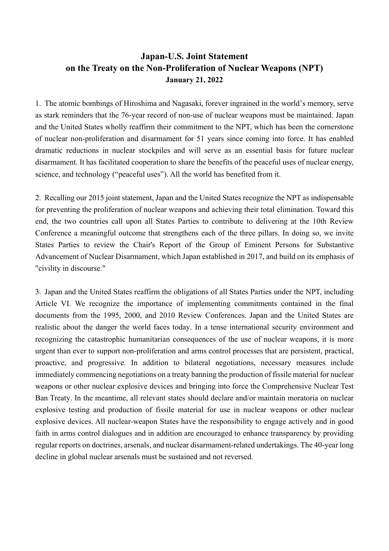## **Japan-U.S. Joint Statement on the Treaty on the Non-Proliferation of Nuclear Weapons (NPT) January 21, 2022**

1. The atomic bombings of Hiroshima and Nagasaki, forever ingrained in the world's memory, serve as stark reminders that the 76-year record of non-use of nuclear weapons must be maintained. Japan and the United States wholly reaffirm their commitment to the NPT, which has been the cornerstone of nuclear non-proliferation and disarmament for 51 years since coming into force. It has enabled dramatic reductions in nuclear stockpiles and will serve as an essential basis for future nuclear disarmament. It has facilitated cooperation to share the benefits of the peaceful uses of nuclear energy, science, and technology ("peaceful uses"). All the world has benefited from it.

2. Recalling our 2015 joint statement, Japan and the United States recognize the NPT as indispensable for preventing the proliferation of nuclear weapons and achieving their total elimination. Toward this end, the two countries call upon all States Parties to contribute to delivering at the 10th Review Conference a meaningful outcome that strengthens each of the three pillars. In doing so, we invite States Parties to review the Chair's Report of the Group of Eminent Persons for Substantive Advancement of Nuclear Disarmament, which Japan established in 2017, and build on its emphasis of "civility in discourse."

3. Japan and the United States reaffirm the obligations of all States Parties under the NPT, including Article VI. We recognize the importance of implementing commitments contained in the final documents from the 1995, 2000, and 2010 Review Conferences. Japan and the United States are realistic about the danger the world faces today. In a tense international security environment and recognizing the catastrophic humanitarian consequences of the use of nuclear weapons, it is more urgent than ever to support non-proliferation and arms control processes that are persistent, practical, proactive, and progressive. In addition to bilateral negotiations, necessary measures include immediately commencing negotiations on a treaty banning the production of fissile material for nuclear weapons or other nuclear explosive devices and bringing into force the Comprehensive Nuclear Test Ban Treaty. In the meantime, all relevant states should declare and/or maintain moratoria on nuclear explosive testing and production of fissile material for use in nuclear weapons or other nuclear explosive devices. All nuclear-weapon States have the responsibility to engage actively and in good faith in arms control dialogues and in addition are encouraged to enhance transparency by providing regular reports on doctrines, arsenals, and nuclear disarmament-related undertakings. The 40-year long decline in global nuclear arsenals must be sustained and not reversed.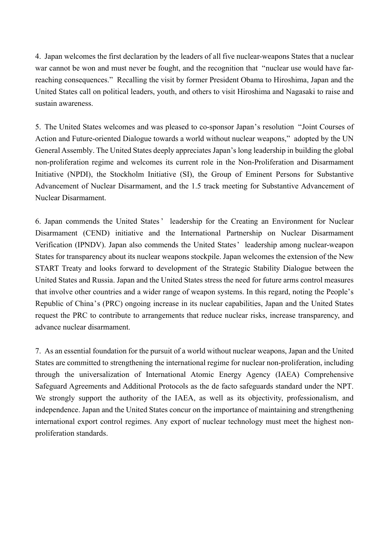4. Japan welcomes the first declaration by the leaders of all five nuclear-weapons States that a nuclear war cannot be won and must never be fought, and the recognition that "nuclear use would have farreaching consequences." Recalling the visit by former President Obama to Hiroshima, Japan and the United States call on political leaders, youth, and others to visit Hiroshima and Nagasaki to raise and sustain awareness.

5. The United States welcomes and was pleased to co-sponsor Japan's resolution "Joint Courses of Action and Future-oriented Dialogue towards a world without nuclear weapons," adopted by the UN General Assembly. The United States deeply appreciates Japan's long leadership in building the global non-proliferation regime and welcomes its current role in the Non-Proliferation and Disarmament Initiative (NPDI), the Stockholm Initiative (SI), the Group of Eminent Persons for Substantive Advancement of Nuclear Disarmament, and the 1.5 track meeting for Substantive Advancement of Nuclear Disarmament.

6. Japan commends the United States' leadership for the Creating an Environment for Nuclear Disarmament (CEND) initiative and the International Partnership on Nuclear Disarmament Verification (IPNDV). Japan also commends the United States' leadership among nuclear-weapon States for transparency about its nuclear weapons stockpile. Japan welcomes the extension of the New START Treaty and looks forward to development of the Strategic Stability Dialogue between the United States and Russia. Japan and the United States stress the need for future arms control measures that involve other countries and a wider range of weapon systems. In this regard, noting the People's Republic of China's (PRC) ongoing increase in its nuclear capabilities, Japan and the United States request the PRC to contribute to arrangements that reduce nuclear risks, increase transparency, and advance nuclear disarmament.

7. As an essential foundation for the pursuit of a world without nuclear weapons, Japan and the United States are committed to strengthening the international regime for nuclear non-proliferation, including through the universalization of International Atomic Energy Agency (IAEA) Comprehensive Safeguard Agreements and Additional Protocols as the de facto safeguards standard under the NPT. We strongly support the authority of the IAEA, as well as its objectivity, professionalism, and independence. Japan and the United States concur on the importance of maintaining and strengthening international export control regimes. Any export of nuclear technology must meet the highest nonproliferation standards.